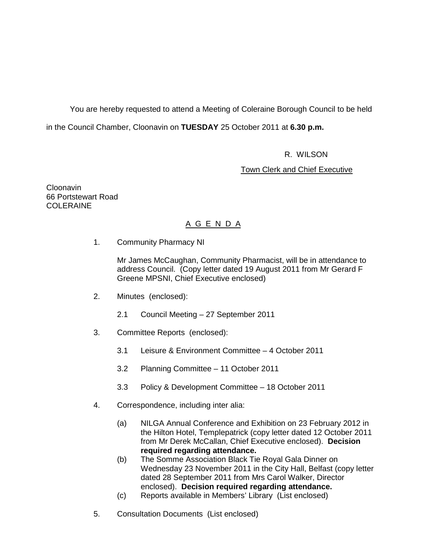You are hereby requested to attend a Meeting of Coleraine Borough Council to be held in the Council Chamber, Cloonavin on **TUESDAY** 25 October 2011 at **6.30 p.m.** 

R. WILSON

**Town Clerk and Chief Executive** 

Cloonavin 66 Portstewart Road COLERAINE

# A G E N D A

1. Community Pharmacy NI

Mr James McCaughan, Community Pharmacist, will be in attendance to address Council. (Copy letter dated 19 August 2011 from Mr Gerard F Greene MPSNI, Chief Executive enclosed)

- 2. Minutes (enclosed):
	- 2.1 Council Meeting 27 September 2011
- 3. Committee Reports (enclosed):
	- 3.1 Leisure & Environment Committee 4 October 2011
	- 3.2 Planning Committee 11 October 2011
	- 3.3 Policy & Development Committee 18 October 2011
- 4. Correspondence, including inter alia:
	- (a) NILGA Annual Conference and Exhibition on 23 February 2012 in the Hilton Hotel, Templepatrick (copy letter dated 12 October 2011 from Mr Derek McCallan, Chief Executive enclosed). **Decision required regarding attendance.**
	- (b) The Somme Association Black Tie Royal Gala Dinner on Wednesday 23 November 2011 in the City Hall, Belfast (copy letter dated 28 September 2011 from Mrs Carol Walker, Director enclosed). **Decision required regarding attendance.**
	- (c) Reports available in Members' Library (List enclosed)
- 5. Consultation Documents (List enclosed)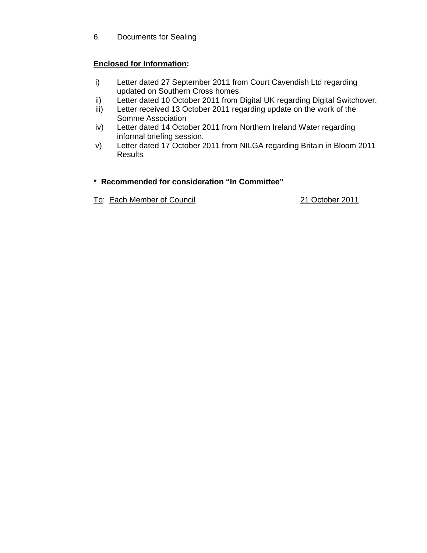6. Documents for Sealing

# **Enclosed for Information:**

- i) Letter dated 27 September 2011 from Court Cavendish Ltd regarding updated on Southern Cross homes.
- ii) Letter dated 10 October 2011 from Digital UK regarding Digital Switchover.
- iii) Letter received 13 October 2011 regarding update on the work of the Somme Association
- iv) Letter dated 14 October 2011 from Northern Ireland Water regarding informal briefing session.
- v) Letter dated 17 October 2011 from NILGA regarding Britain in Bloom 2011 **Results**

# **\* Recommended for consideration "In Committee"**

To: Each Member of Council 21 October 2011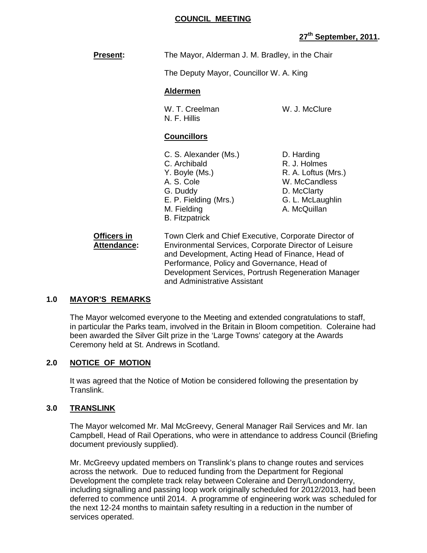#### **COUNCIL MEETING**

# **27th September, 2011.**

**Present:** The Mayor, Alderman J. M. Bradley, in the Chair

The Deputy Mayor, Councillor W. A. King

#### **Aldermen**

W. T. Creelman W. J. McClure N. F. Hillis

# **Councillors**

- C. S. Alexander (Ms.) D. Harding C. Archibald R. J. Holmes Y. Boyle (Ms.) R. A. Loftus (Mrs.) A. S. Cole W. McCandless G. Duddy D. McClarty E. P. Fielding (Mrs.) G. L. McLaughlin M. Fielding **A. McQuillan** B. Fitzpatrick
- 

 **Officers in** Town Clerk and Chief Executive, Corporate Director of Attendance: Environmental Services, Corporate Director of Leisure and Development, Acting Head of Finance, Head of Performance, Policy and Governance, Head of Development Services, Portrush Regeneration Manager and Administrative Assistant

# **1.0 MAYOR'S REMARKS**

 The Mayor welcomed everyone to the Meeting and extended congratulations to staff, in particular the Parks team, involved in the Britain in Bloom competition. Coleraine had been awarded the Silver Gilt prize in the 'Large Towns' category at the Awards Ceremony held at St. Andrews in Scotland.

# **2.0 NOTICE OF MOTION**

 It was agreed that the Notice of Motion be considered following the presentation by Translink.

# **3.0 TRANSLINK**

 The Mayor welcomed Mr. Mal McGreevy, General Manager Rail Services and Mr. Ian Campbell, Head of Rail Operations, who were in attendance to address Council (Briefing document previously supplied).

 Mr. McGreevy updated members on Translink's plans to change routes and services across the network. Due to reduced funding from the Department for Regional Development the complete track relay between Coleraine and Derry/Londonderry, including signalling and passing loop work originally scheduled for 2012/2013, had been deferred to commence until 2014. A programme of engineering work was scheduled for the next 12-24 months to maintain safety resulting in a reduction in the number of services operated.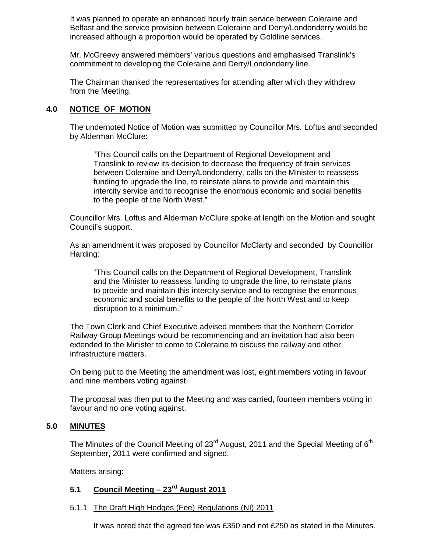It was planned to operate an enhanced hourly train service between Coleraine and Belfast and the service provision between Coleraine and Derry/Londonderry would be increased although a proportion would be operated by Goldline services.

 Mr. McGreevy answered members' various questions and emphasised Translink's commitment to developing the Coleraine and Derry/Londonderry line.

 The Chairman thanked the representatives for attending after which they withdrew from the Meeting.

# **4.0 NOTICE OF MOTION**

 The undernoted Notice of Motion was submitted by Councillor Mrs. Loftus and seconded by Alderman McClure:

 "This Council calls on the Department of Regional Development and Translink to review its decision to decrease the frequency of train services between Coleraine and Derry/Londonderry, calls on the Minister to reassess funding to upgrade the line, to reinstate plans to provide and maintain this intercity service and to recognise the enormous economic and social benefits to the people of the North West."

Councillor Mrs. Loftus and Alderman McClure spoke at length on the Motion and sought Council's support.

As an amendment it was proposed by Councillor McClarty and seconded by Councillor Harding:

 "This Council calls on the Department of Regional Development, Translink and the Minister to reassess funding to upgrade the line, to reinstate plans to provide and maintain this intercity service and to recognise the enormous economic and social benefits to the people of the North West and to keep disruption to a minimum."

 The Town Clerk and Chief Executive advised members that the Northern Corridor Railway Group Meetings would be recommencing and an invitation had also been extended to the Minister to come to Coleraine to discuss the railway and other infrastructure matters.

 On being put to the Meeting the amendment was lost, eight members voting in favour and nine members voting against.

 The proposal was then put to the Meeting and was carried, fourteen members voting in favour and no one voting against.

# **5.0 MINUTES**

The Minutes of the Council Meeting of  $23<sup>rd</sup>$  August, 2011 and the Special Meeting of  $6<sup>th</sup>$ September, 2011 were confirmed and signed.

Matters arising:

# **5.1 Council Meeting – 23rd August 2011**

# 5.1.1 The Draft High Hedges (Fee) Regulations (NI) 2011

It was noted that the agreed fee was £350 and not £250 as stated in the Minutes.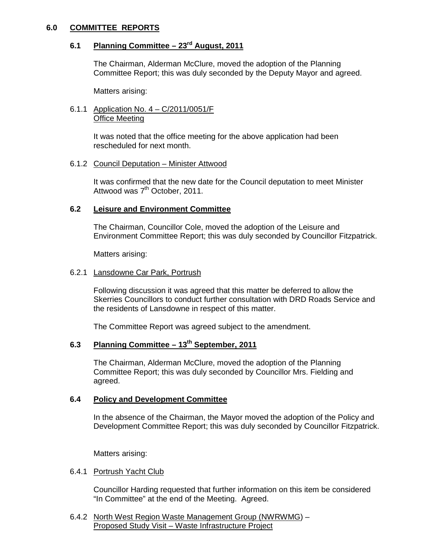# **6.0 COMMITTEE REPORTS**

# **6.1 Planning Committee – 23rd August, 2011**

 The Chairman, Alderman McClure, moved the adoption of the Planning Committee Report; this was duly seconded by the Deputy Mayor and agreed.

Matters arising:

#### 6.1.1 Application No. 4 – C/2011/0051/F Office Meeting

 It was noted that the office meeting for the above application had been rescheduled for next month.

# 6.1.2 Council Deputation – Minister Attwood

 It was confirmed that the new date for the Council deputation to meet Minister Attwood was 7<sup>th</sup> October, 2011.

# **6.2 Leisure and Environment Committee**

 The Chairman, Councillor Cole, moved the adoption of the Leisure and Environment Committee Report; this was duly seconded by Councillor Fitzpatrick.

Matters arising:

#### 6.2.1 Lansdowne Car Park, Portrush

Following discussion it was agreed that this matter be deferred to allow the Skerries Councillors to conduct further consultation with DRD Roads Service and the residents of Lansdowne in respect of this matter.

The Committee Report was agreed subject to the amendment.

# **6.3 Planning Committee – 13th September, 2011**

 The Chairman, Alderman McClure, moved the adoption of the Planning Committee Report; this was duly seconded by Councillor Mrs. Fielding and agreed.

# **6.4 Policy and Development Committee**

 In the absence of the Chairman, the Mayor moved the adoption of the Policy and Development Committee Report; this was duly seconded by Councillor Fitzpatrick.

Matters arising:

# 6.4.1 Portrush Yacht Club

 Councillor Harding requested that further information on this item be considered "In Committee" at the end of the Meeting. Agreed.

 6.4.2 North West Region Waste Management Group (NWRWMG) – Proposed Study Visit – Waste Infrastructure Project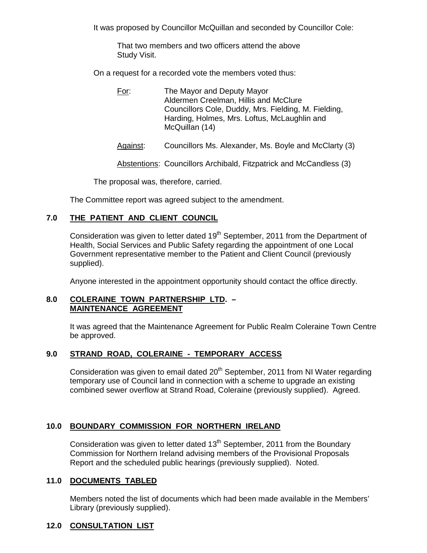It was proposed by Councillor McQuillan and seconded by Councillor Cole:

 That two members and two officers attend the above Study Visit.

On a request for a recorded vote the members voted thus:

- For: The Mayor and Deputy Mayor Aldermen Creelman, Hillis and McClure Councillors Cole, Duddy, Mrs. Fielding, M. Fielding, Harding, Holmes, Mrs. Loftus, McLaughlin and McQuillan (14)
- Against: Councillors Ms. Alexander, Ms. Boyle and McClarty (3)

Abstentions: Councillors Archibald, Fitzpatrick and McCandless (3)

The proposal was, therefore, carried.

The Committee report was agreed subject to the amendment.

# **7.0 THE PATIENT AND CLIENT COUNCIL**

Consideration was given to letter dated 19<sup>th</sup> September, 2011 from the Department of Health, Social Services and Public Safety regarding the appointment of one Local Government representative member to the Patient and Client Council (previously supplied).

Anyone interested in the appointment opportunity should contact the office directly.

#### **8.0 COLERAINE TOWN PARTNERSHIP LTD. – MAINTENANCE AGREEMENT**

 It was agreed that the Maintenance Agreement for Public Realm Coleraine Town Centre be approved.

# **9.0 STRAND ROAD, COLERAINE - TEMPORARY ACCESS**

Consideration was given to email dated 20<sup>th</sup> September, 2011 from NI Water regarding temporary use of Council land in connection with a scheme to upgrade an existing combined sewer overflow at Strand Road, Coleraine (previously supplied). Agreed.

# **10.0 BOUNDARY COMMISSION FOR NORTHERN IRELAND**

Consideration was given to letter dated  $13<sup>th</sup>$  September, 2011 from the Boundary Commission for Northern Ireland advising members of the Provisional Proposals Report and the scheduled public hearings (previously supplied). Noted.

# **11.0 DOCUMENTS TABLED**

 Members noted the list of documents which had been made available in the Members' Library (previously supplied).

#### **12.0 CONSULTATION LIST**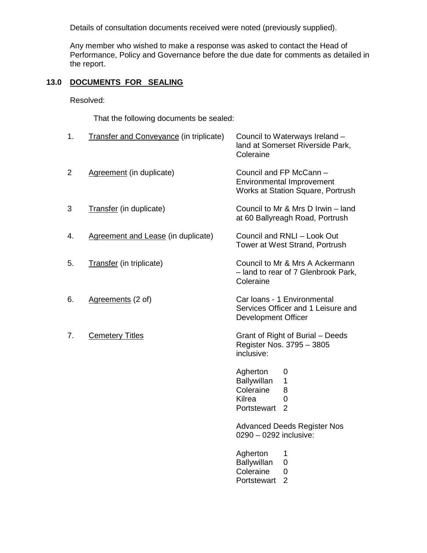Details of consultation documents received were noted (previously supplied).

 Any member who wished to make a response was asked to contact the Head of Performance, Policy and Governance before the due date for comments as detailed in the report.

# **13.0 DOCUMENTS FOR SEALING**

Resolved:

That the following documents be sealed:

| 1.             | <b>Transfer and Conveyance (in triplicate)</b> | Council to Waterways Ireland -<br>land at Somerset Riverside Park,<br>Coleraine                     |
|----------------|------------------------------------------------|-----------------------------------------------------------------------------------------------------|
| $\overline{2}$ | Agreement (in duplicate)                       | Council and FP McCann -<br><b>Environmental Improvement</b><br>Works at Station Square, Portrush    |
| 3              | Transfer (in duplicate)                        | Council to Mr & Mrs D Irwin - land<br>at 60 Ballyreagh Road, Portrush                               |
| 4.             | Agreement and Lease (in duplicate)             | Council and RNLI - Look Out<br>Tower at West Strand, Portrush                                       |
| 5.             | Transfer (in triplicate)                       | Council to Mr & Mrs A Ackermann<br>- land to rear of 7 Glenbrook Park,<br>Coleraine                 |
| 6.             | Agreements (2 of)                              | Car Ioans - 1 Environmental<br>Services Officer and 1 Leisure and<br><b>Development Officer</b>     |
| 7.             | <b>Cemetery Titles</b>                         | Grant of Right of Burial - Deeds<br>Register Nos. 3795 - 3805<br>inclusive:                         |
|                |                                                | Agherton<br>0<br>Ballywillan<br>1<br>Coleraine<br>8<br>Kilrea<br>0<br>$\overline{2}$<br>Portstewart |
|                |                                                | <b>Advanced Deeds Register Nos</b><br>0290 - 0292 inclusive:                                        |
|                |                                                | Agherton<br>1<br>Ballywillan<br>0<br>Coleraine<br>0<br>$\overline{2}$<br>Portstewart                |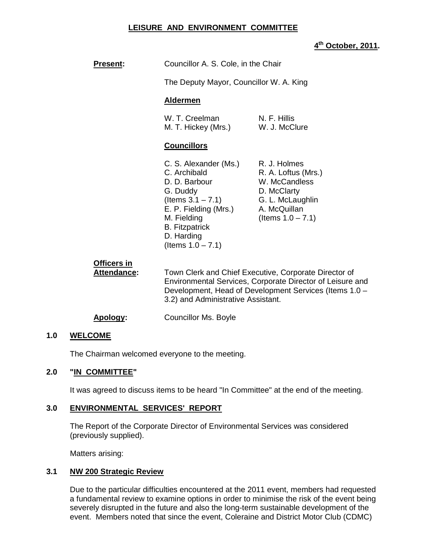# **LEISURE AND ENVIRONMENT COMMITTEE**

# **4 th October, 2011.**

| <b>Present:</b>                   | Councillor A. S. Cole, in the Chair                                                                                                                                                                                |                                                                                                                                 |  |
|-----------------------------------|--------------------------------------------------------------------------------------------------------------------------------------------------------------------------------------------------------------------|---------------------------------------------------------------------------------------------------------------------------------|--|
|                                   | The Deputy Mayor, Councillor W. A. King                                                                                                                                                                            |                                                                                                                                 |  |
|                                   | <b>Aldermen</b>                                                                                                                                                                                                    |                                                                                                                                 |  |
|                                   | W. T. Creelman<br>M. T. Hickey (Mrs.)                                                                                                                                                                              | N. F. Hillis<br>W. J. McClure                                                                                                   |  |
|                                   | <b>Councillors</b>                                                                                                                                                                                                 |                                                                                                                                 |  |
|                                   | C. S. Alexander (Ms.)<br>C. Archibald<br>D. D. Barbour<br>G. Duddy<br>(Items $3.1 - 7.1$ )<br>E. P. Fielding (Mrs.)<br>M. Fielding<br><b>B.</b> Fitzpatrick<br>D. Harding<br>(Items $1.0 - 7.1$ )                  | R. J. Holmes<br>R. A. Loftus (Mrs.)<br>W. McCandless<br>D. McClarty<br>G. L. McLaughlin<br>A. McQuillan<br>(Items $1.0 - 7.1$ ) |  |
| Officers in<br><b>Attendance:</b> | Town Clerk and Chief Executive, Corporate Director of<br>Environmental Services, Corporate Director of Leisure and<br>Development, Head of Development Services (Items 1.0 -<br>3.2) and Administrative Assistant. |                                                                                                                                 |  |

#### **Apology:** Councillor Ms. Boyle

#### **1.0 WELCOME**

The Chairman welcomed everyone to the meeting.

#### **2.0 "IN COMMITTEE"**

It was agreed to discuss items to be heard "In Committee" at the end of the meeting.

# **3.0 ENVIRONMENTAL SERVICES' REPORT**

 The Report of the Corporate Director of Environmental Services was considered (previously supplied).

Matters arising:

#### **3.1 NW 200 Strategic Review**

 Due to the particular difficulties encountered at the 2011 event, members had requested a fundamental review to examine options in order to minimise the risk of the event being severely disrupted in the future and also the long-term sustainable development of the event. Members noted that since the event, Coleraine and District Motor Club (CDMC)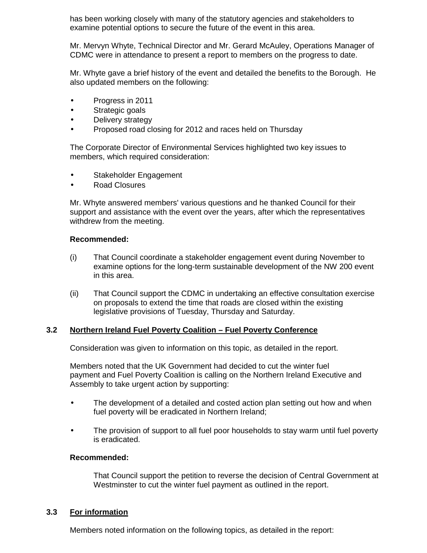has been working closely with many of the statutory agencies and stakeholders to examine potential options to secure the future of the event in this area.

 Mr. Mervyn Whyte, Technical Director and Mr. Gerard McAuley, Operations Manager of CDMC were in attendance to present a report to members on the progress to date.

 Mr. Whyte gave a brief history of the event and detailed the benefits to the Borough. He also updated members on the following:

- Progress in 2011
- Strategic goals
- Delivery strategy
- Proposed road closing for 2012 and races held on Thursday

 The Corporate Director of Environmental Services highlighted two key issues to members, which required consideration:

- Stakeholder Engagement
- Road Closures

 Mr. Whyte answered members' various questions and he thanked Council for their support and assistance with the event over the years, after which the representatives withdrew from the meeting.

# **Recommended:**

- (i) That Council coordinate a stakeholder engagement event during November to examine options for the long-term sustainable development of the NW 200 event in this area.
- (ii) That Council support the CDMC in undertaking an effective consultation exercise on proposals to extend the time that roads are closed within the existing legislative provisions of Tuesday, Thursday and Saturday.

# **3.2 Northern Ireland Fuel Poverty Coalition – Fuel Poverty Conference**

Consideration was given to information on this topic, as detailed in the report.

 Members noted that the UK Government had decided to cut the winter fuel payment and Fuel Poverty Coalition is calling on the Northern Ireland Executive and Assembly to take urgent action by supporting:

- The development of a detailed and costed action plan setting out how and when fuel poverty will be eradicated in Northern Ireland;
- The provision of support to all fuel poor households to stay warm until fuel poverty is eradicated.

# **Recommended:**

 That Council support the petition to reverse the decision of Central Government at Westminster to cut the winter fuel payment as outlined in the report.

# **3.3 For information**

Members noted information on the following topics, as detailed in the report: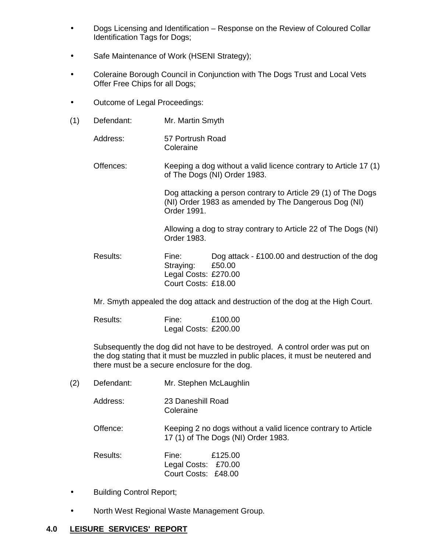- Dogs Licensing and Identification Response on the Review of Coloured Collar Identification Tags for Dogs;
- Safe Maintenance of Work (HSENI Strategy);
- Coleraine Borough Council in Conjunction with The Dogs Trust and Local Vets Offer Free Chips for all Dogs;
- Outcome of Legal Proceedings:
- (1) Defendant: Mr. Martin Smyth

Address: 57 Portrush Road Coleraine

Offences: Keeping a dog without a valid licence contrary to Article 17 (1) of The Dogs (NI) Order 1983.

> Dog attacking a person contrary to Article 29 (1) of The Dogs (NI) Order 1983 as amended by The Dangerous Dog (NI) Order 1991.

> Allowing a dog to stray contrary to Article 22 of The Dogs (NI) Order 1983.

Results: Fine: Dog attack - £100.00 and destruction of the dog Straying: £50.00 Legal Costs: £270.00 Court Costs: £18.00

Mr. Smyth appealed the dog attack and destruction of the dog at the High Court.

| Results: | Fine:                | £100.00 |  |
|----------|----------------------|---------|--|
|          | Legal Costs: £200.00 |         |  |

 Subsequently the dog did not have to be destroyed. A control order was put on the dog stating that it must be muzzled in public places, it must be neutered and there must be a secure enclosure for the dog.

(2) Defendant: Mr. Stephen McLaughlin

Address: 23 Daneshill Road **Coleraine** 

Offence: Keeping 2 no dogs without a valid licence contrary to Article 17 (1) of The Dogs (NI) Order 1983.

| Results: | Fine:               |  |
|----------|---------------------|--|
|          | Legal Costs: £70.00 |  |
|          | Court Costs: £48.00 |  |

- Building Control Report;
- North West Regional Waste Management Group.

# **4.0 LEISURE SERVICES' REPORT**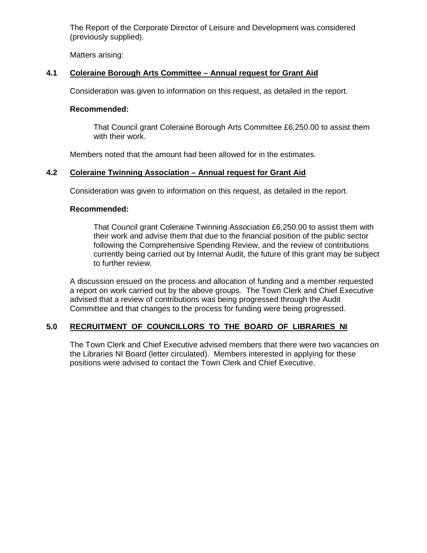The Report of the Corporate Director of Leisure and Development was considered (previously supplied).

Matters arising:

# **4.1 Coleraine Borough Arts Committee – Annual request for Grant Aid**

Consideration was given to information on this request, as detailed in the report.

# **Recommended:**

 That Council grant Coleraine Borough Arts Committee £6,250.00 to assist them with their work.

Members noted that the amount had been allowed for in the estimates.

# **4.2 Coleraine Twinning Association – Annual request for Grant Aid**

Consideration was given to information on this request, as detailed in the report.

# **Recommended:**

 That Council grant Coleraine Twinning Association £6,250.00 to assist them with their work and advise them that due to the financial position of the public sector following the Comprehensive Spending Review, and the review of contributions currently being carried out by Internal Audit, the future of this grant may be subject to further review.

 A discussion ensued on the process and allocation of funding and a member requested a report on work carried out by the above groups. The Town Clerk and Chief Executive advised that a review of contributions was being progressed through the Audit Committee and that changes to the process for funding were being progressed.

# **5.0 RECRUITMENT OF COUNCILLORS TO THE BOARD OF LIBRARIES NI**

 The Town Clerk and Chief Executive advised members that there were two vacancies on the Libraries NI Board (letter circulated). Members interested in applying for these positions were advised to contact the Town Clerk and Chief Executive.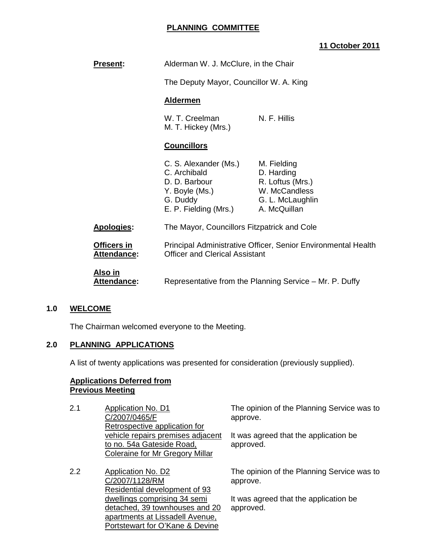# **PLANNING COMMITTEE**

# **11 October 2011**

| <b>Present:</b>               | Alderman W. J. McClure, in the Chair                                                                                                                                                                             |                                                                                                    |
|-------------------------------|------------------------------------------------------------------------------------------------------------------------------------------------------------------------------------------------------------------|----------------------------------------------------------------------------------------------------|
|                               | The Deputy Mayor, Councillor W. A. King                                                                                                                                                                          |                                                                                                    |
|                               | <b>Aldermen</b>                                                                                                                                                                                                  |                                                                                                    |
|                               | W. T. Creelman<br>M. T. Hickey (Mrs.)                                                                                                                                                                            | N. F. Hillis                                                                                       |
|                               | <b>Councillors</b>                                                                                                                                                                                               |                                                                                                    |
|                               | C. S. Alexander (Ms.)<br>C. Archibald<br>D. D. Barbour<br>Y. Boyle (Ms.)<br>G. Duddy<br>E. P. Fielding (Mrs.)                                                                                                    | M. Fielding<br>D. Harding<br>R. Loftus (Mrs.)<br>W. McCandless<br>G. L. McLaughlin<br>A. McQuillan |
| Apologies:                    | The Mayor, Councillors Fitzpatrick and Cole<br>Principal Administrative Officer, Senior Environmental Health<br><b>Officer and Clerical Assistant</b><br>Representative from the Planning Service – Mr. P. Duffy |                                                                                                    |
| Officers in<br>Attendance:    |                                                                                                                                                                                                                  |                                                                                                    |
| Also in<br><b>Attendance:</b> |                                                                                                                                                                                                                  |                                                                                                    |

# **1.0 WELCOME**

The Chairman welcomed everyone to the Meeting.

# **2.0 PLANNING APPLICATIONS**

A list of twenty applications was presented for consideration (previously supplied).

#### **Applications Deferred from Previous Meeting**

| 2.1 | Application No. D1                | The opinion of the Planning Service was to |
|-----|-----------------------------------|--------------------------------------------|
|     | C/2007/0465/F                     | approve.                                   |
|     | Retrospective application for     |                                            |
|     | vehicle repairs premises adjacent | It was agreed that the application be      |
|     | to no. 54a Gateside Road,         | approved.                                  |
|     | Coleraine for Mr Gregory Millar   |                                            |
| 2.2 | <b>Application No. D2</b>         | The opinion of the Planning Service was to |
|     | C/2007/1128/RM                    | approve.                                   |

C/2007/1128/RM Residential development of 93 dwellings comprising 34 semi detached, 39 townhouses and 20 apartments at Lissadell Avenue, Portstewart for O'Kane & Devine

It was agreed that the application be approved.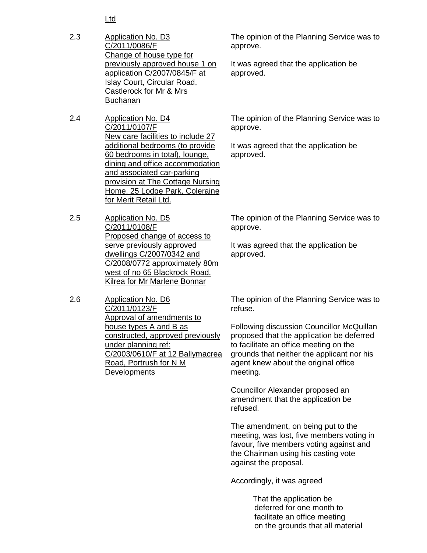Ltd

- 2.3 Application No. D3 C/2011/0086/F Change of house type for previously approved house 1 on application C/2007/0845/F at Islay Court, Circular Road, Castlerock for Mr & Mrs Buchanan
- 2.4 Application No. D4 C/2011/0107/F New care facilities to include 27 additional bedrooms (to provide 60 bedrooms in total), lounge, dining and office accommodation and associated car-parking provision at The Cottage Nursing Home, 25 Lodge Park, Coleraine for Merit Retail Ltd.
- 2.5 Application No. D5 C/2011/0108/F Proposed change of access to serve previously approved dwellings C/2007/0342 and C/2008/0772 approximately 80m west of no 65 Blackrock Road, Kilrea for Mr Marlene Bonnar
- 2.6 Application No. D6 C/2011/0123/F Approval of amendments to house types A and B as constructed, approved previously under planning ref: C/2003/0610/F at 12 Ballymacrea Road, Portrush for N M **Developments**

The opinion of the Planning Service was to approve.

It was agreed that the application be approved.

The opinion of the Planning Service was to approve.

It was agreed that the application be approved.

The opinion of the Planning Service was to approve.

It was agreed that the application be approved.

The opinion of the Planning Service was to refuse.

Following discussion Councillor McQuillan proposed that the application be deferred to facilitate an office meeting on the grounds that neither the applicant nor his agent knew about the original office meeting.

Councillor Alexander proposed an amendment that the application be refused.

The amendment, on being put to the meeting, was lost, five members voting in favour, five members voting against and the Chairman using his casting vote against the proposal.

Accordingly, it was agreed

 That the application be deferred for one month to facilitate an office meeting on the grounds that all material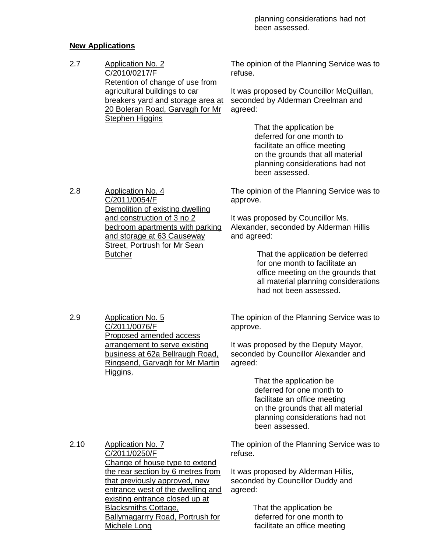# **New Applications**

2.7 Application No. 2 C/2010/0217/F Retention of change of use from agricultural buildings to car breakers yard and storage area at 20 Boleran Road, Garvagh for Mr **Stephen Higgins** The opinion of the Planning Service was to refuse. It was proposed by Councillor McQuillan, seconded by Alderman Creelman and agreed: That the application be

 deferred for one month to facilitate an office meeting on the grounds that all material planning considerations had not been assessed.

2.8 Application No. 4 C/2011/0054/F Demolition of existing dwelling and construction of 3 no 2 bedroom apartments with parking and storage at 63 Causeway Street, Portrush for Mr Sean **Butcher** 

The opinion of the Planning Service was to approve.

It was proposed by Councillor Ms. Alexander, seconded by Alderman Hillis and agreed:

> That the application be deferred for one month to facilitate an office meeting on the grounds that all material planning considerations had not been assessed.

2.9 Application No. 5 C/2011/0076/F Proposed amended access arrangement to serve existing business at 62a Bellraugh Road, Ringsend, Garvagh for Mr Martin Higgins.

The opinion of the Planning Service was to approve.

It was proposed by the Deputy Mayor, seconded by Councillor Alexander and agreed:

> That the application be deferred for one month to facilitate an office meeting on the grounds that all material planning considerations had not been assessed.

2.10 Application No. 7 C/2011/0250/F Change of house type to extend the rear section by 6 metres from that previously approved, new entrance west of the dwelling and existing entrance closed up at Blacksmiths Cottage, Ballymagarrry Road, Portrush for Michele Long

The opinion of the Planning Service was to refuse.

It was proposed by Alderman Hillis, seconded by Councillor Duddy and agreed:

> That the application be deferred for one month to facilitate an office meeting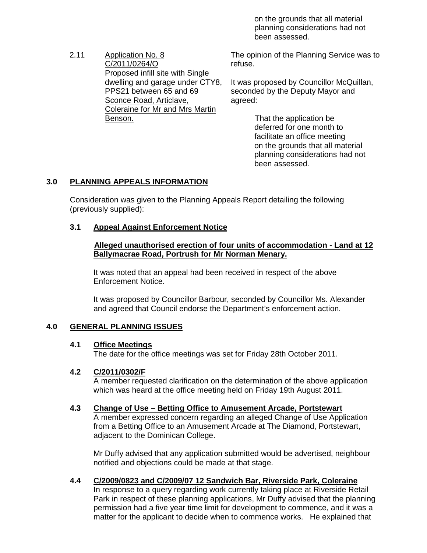on the grounds that all material planning considerations had not been assessed.

2.11 Application No. 8 C/2011/0264/O Proposed infill site with Single dwelling and garage under CTY8, PPS21 between 65 and 69 Sconce Road, Articlave, Coleraine for Mr and Mrs Martin Benson.

The opinion of the Planning Service was to refuse.

It was proposed by Councillor McQuillan, seconded by the Deputy Mayor and agreed:

> That the application be deferred for one month to facilitate an office meeting on the grounds that all material planning considerations had not been assessed.

# **3.0 PLANNING APPEALS INFORMATION**

Consideration was given to the Planning Appeals Report detailing the following (previously supplied):

# **3.1 Appeal Against Enforcement Notice**

#### **Alleged unauthorised erection of four units of accommodation - Land at 12 Ballymacrae Road, Portrush for Mr Norman Menary.**

It was noted that an appeal had been received in respect of the above Enforcement Notice.

It was proposed by Councillor Barbour, seconded by Councillor Ms. Alexander and agreed that Council endorse the Department's enforcement action.

# **4.0 GENERAL PLANNING ISSUES**

# **4.1 Office Meetings**

The date for the office meetings was set for Friday 28th October 2011.

# **4.2 C/2011/0302/F**

A member requested clarification on the determination of the above application which was heard at the office meeting held on Friday 19th August 2011.

# **4.3 Change of Use – Betting Office to Amusement Arcade, Portstewart**

A member expressed concern regarding an alleged Change of Use Application from a Betting Office to an Amusement Arcade at The Diamond, Portstewart, adjacent to the Dominican College.

Mr Duffy advised that any application submitted would be advertised, neighbour notified and objections could be made at that stage.

#### **4.4 C/2009/0823 and C/2009/07 12 Sandwich Bar, Riverside Park, Coleraine** In response to a query regarding work currently taking place at Riverside Retail Park in respect of these planning applications, Mr Duffy advised that the planning permission had a five year time limit for development to commence, and it was a matter for the applicant to decide when to commence works. He explained that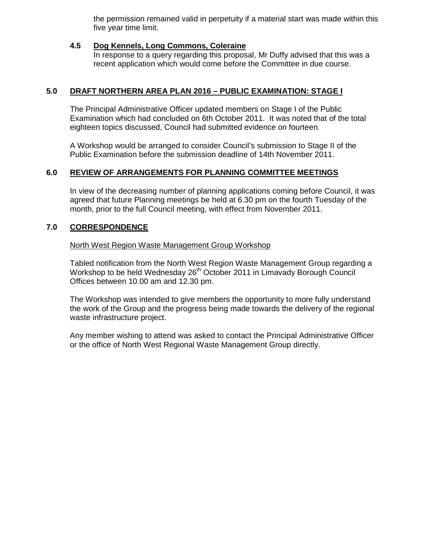the permission remained valid in perpetuity if a material start was made within this five year time limit.

# **4.5 Dog Kennels, Long Commons, Coleraine**

 In response to a query regarding this proposal, Mr Duffy advised that this was a recent application which would come before the Committee in due course.

# **5.0 DRAFT NORTHERN AREA PLAN 2016 – PUBLIC EXAMINATION: STAGE I**

The Principal Administrative Officer updated members on Stage I of the Public Examination which had concluded on 6th October 2011. It was noted that of the total eighteen topics discussed, Council had submitted evidence on fourteen.

A Workshop would be arranged to consider Council's submission to Stage II of the Public Examination before the submission deadline of 14th November 2011.

# **6.0 REVIEW OF ARRANGEMENTS FOR PLANNING COMMITTEE MEETINGS**

In view of the decreasing number of planning applications coming before Council, it was agreed that future Planning meetings be held at 6.30 pm on the fourth Tuesday of the month, prior to the full Council meeting, with effect from November 2011.

# **7.0 CORRESPONDENCE**

North West Region Waste Management Group Workshop

Tabled notification from the North West Region Waste Management Group regarding a Workshop to be held Wednesday 26<sup>th</sup> October 2011 in Limavady Borough Council Offices between 10.00 am and 12.30 pm.

The Workshop was intended to give members the opportunity to more fully understand the work of the Group and the progress being made towards the delivery of the regional waste infrastructure project.

Any member wishing to attend was asked to contact the Principal Administrative Officer or the office of North West Regional Waste Management Group directly.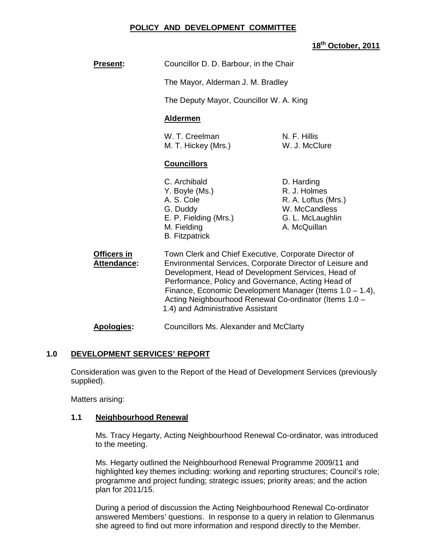# **POLICY AND DEVELOPMENT COMMITTEE**

# **18th October, 2011**

The Mayor, Alderman J. M. Bradley

The Deputy Mayor, Councillor W. A. King

# **Aldermen**

| W. T. Creelman      |  |  |
|---------------------|--|--|
| M. T. Hickey (Mrs.) |  |  |

N. F. Hillis W. J. McClure

# **Councillors**

- C. Archibald D. Harding Y. Boyle (Ms.) R. J. Holmes A. S. Cole R. A. Loftus (Mrs.) G. Duddy W. McCandless E. P. Fielding (Mrs.) G. L. McLaughlin M. Fielding **A. McQuillan** B. Fitzpatrick
- 
- **Officers in Town Clerk and Chief Executive, Corporate Director of Attendance:** Environmental Services, Corporate Director of Leisure and Development, Head of Development Services, Head of Performance, Policy and Governance, Acting Head of Finance, Economic Development Manager (Items 1.0 – 1.4), Acting Neighbourhood Renewal Co-ordinator (Items 1.0 – 1.4) and Administrative Assistant

**Apologies:** Councillors Ms. Alexander and McClarty

# **1.0 DEVELOPMENT SERVICES' REPORT**

 Consideration was given to the Report of the Head of Development Services (previously supplied).

Matters arising:

# **1.1 Neighbourhood Renewal**

Ms. Tracy Hegarty, Acting Neighbourhood Renewal Co-ordinator, was introduced to the meeting.

Ms. Hegarty outlined the Neighbourhood Renewal Programme 2009/11 and highlighted key themes including: working and reporting structures; Council's role; programme and project funding; strategic issues; priority areas; and the action plan for 2011/15.

During a period of discussion the Acting Neighbourhood Renewal Co-ordinator answered Members' questions. In response to a query in relation to Glenmanus she agreed to find out more information and respond directly to the Member.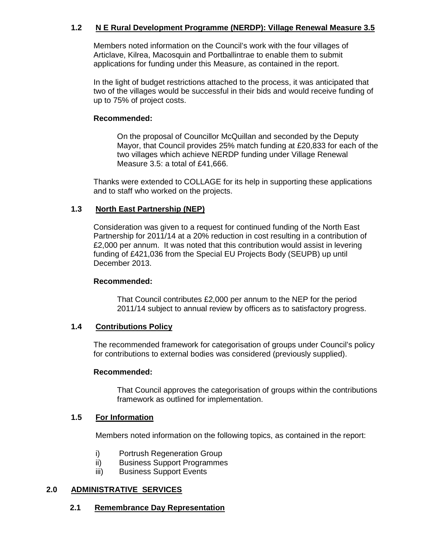# **1.2 N E Rural Development Programme (NERDP): Village Renewal Measure 3.5**

Members noted information on the Council's work with the four villages of Articlave, Kilrea, Macosquin and Portballintrae to enable them to submit applications for funding under this Measure, as contained in the report.

In the light of budget restrictions attached to the process, it was anticipated that two of the villages would be successful in their bids and would receive funding of up to 75% of project costs.

#### **Recommended:**

 On the proposal of Councillor McQuillan and seconded by the Deputy Mayor, that Council provides 25% match funding at £20,833 for each of the two villages which achieve NERDP funding under Village Renewal Measure 3.5: a total of £41,666.

 Thanks were extended to COLLAGE for its help in supporting these applications and to staff who worked on the projects.

# **1.3 North East Partnership (NEP)**

Consideration was given to a request for continued funding of the North East Partnership for 2011/14 at a 20% reduction in cost resulting in a contribution of £2,000 per annum. It was noted that this contribution would assist in levering funding of £421,036 from the Special EU Projects Body (SEUPB) up until December 2013.

# **Recommended:**

That Council contributes £2,000 per annum to the NEP for the period 2011/14 subject to annual review by officers as to satisfactory progress.

# **1.4 Contributions Policy**

The recommended framework for categorisation of groups under Council's policy for contributions to external bodies was considered (previously supplied).

#### **Recommended:**

That Council approves the categorisation of groups within the contributions framework as outlined for implementation.

#### **1.5 For Information**

Members noted information on the following topics, as contained in the report:

- i) Portrush Regeneration Group
- ii) Business Support Programmes
- iii) Business Support Events

# **2.0 ADMINISTRATIVE SERVICES**

# **2.1 Remembrance Day Representation**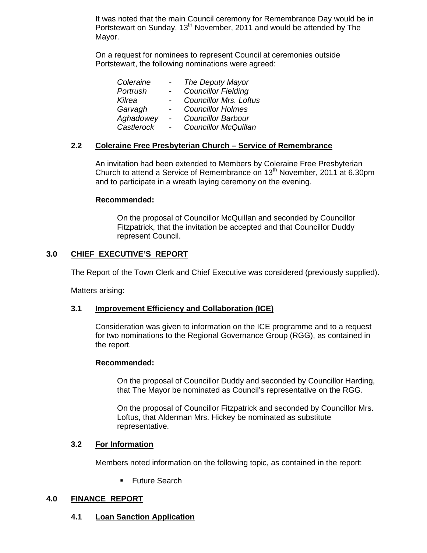It was noted that the main Council ceremony for Remembrance Day would be in Portstewart on Sunday, 13<sup>th</sup> November, 2011 and would be attended by The Mayor.

 On a request for nominees to represent Council at ceremonies outside Portstewart, the following nominations were agreed:

| Coleraine  |                          | The Deputy Mayor              |
|------------|--------------------------|-------------------------------|
| Portrush   |                          | <b>Councillor Fielding</b>    |
| Kilrea     |                          | <b>Councillor Mrs. Loftus</b> |
| Garvagh    |                          | <b>Councillor Holmes</b>      |
| Aghadowey  |                          | <b>Councillor Barbour</b>     |
| Castlerock | $\overline{\phantom{0}}$ | <b>Councillor McQuillan</b>   |
|            |                          |                               |

# **2.2 Coleraine Free Presbyterian Church – Service of Remembrance**

 An invitation had been extended to Members by Coleraine Free Presbyterian Church to attend a Service of Remembrance on  $13<sup>th</sup>$  November, 2011 at 6.30pm and to participate in a wreath laying ceremony on the evening.

#### **Recommended:**

On the proposal of Councillor McQuillan and seconded by Councillor Fitzpatrick, that the invitation be accepted and that Councillor Duddy represent Council.

# **3.0 CHIEF EXECUTIVE'S REPORT**

The Report of the Town Clerk and Chief Executive was considered (previously supplied).

Matters arising:

# **3.1 Improvement Efficiency and Collaboration (ICE)**

 Consideration was given to information on the ICE programme and to a request for two nominations to the Regional Governance Group (RGG), as contained in the report.

#### **Recommended:**

On the proposal of Councillor Duddy and seconded by Councillor Harding, that The Mayor be nominated as Council's representative on the RGG.

On the proposal of Councillor Fitzpatrick and seconded by Councillor Mrs. Loftus, that Alderman Mrs. Hickey be nominated as substitute representative.

# **3.2 For Information**

Members noted information on the following topic, as contained in the report:

**Future Search** 

# **4.0 FINANCE REPORT**

**4.1 Loan Sanction Application**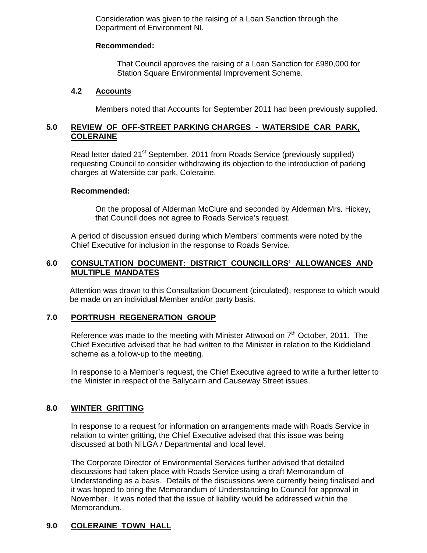Consideration was given to the raising of a Loan Sanction through the Department of Environment NI.

#### **Recommended:**

That Council approves the raising of a Loan Sanction for £980,000 for Station Square Environmental Improvement Scheme.

#### **4.2 Accounts**

Members noted that Accounts for September 2011 had been previously supplied.

# **5.0 REVIEW OF OFF-STREET PARKING CHARGES - WATERSIDE CAR PARK, COLERAINE**

Read letter dated 21<sup>st</sup> September, 2011 from Roads Service (previously supplied) requesting Council to consider withdrawing its objection to the introduction of parking charges at Waterside car park, Coleraine.

#### **Recommended:**

 On the proposal of Alderman McClure and seconded by Alderman Mrs. Hickey, that Council does not agree to Roads Service's request.

A period of discussion ensued during which Members' comments were noted by the Chief Executive for inclusion in the response to Roads Service.

# **6.0 CONSULTATION DOCUMENT: DISTRICT COUNCILLORS' ALLOWANCES AND MULTIPLE MANDATES**

Attention was drawn to this Consultation Document (circulated), response to which would be made on an individual Member and/or party basis.

# **7.0 PORTRUSH REGENERATION GROUP**

Reference was made to the meeting with Minister Attwood on  $7<sup>th</sup>$  October, 2011. The Chief Executive advised that he had written to the Minister in relation to the Kiddieland scheme as a follow-up to the meeting.

In response to a Member's request, the Chief Executive agreed to write a further letter to the Minister in respect of the Ballycairn and Causeway Street issues.

# **8.0 WINTER GRITTING**

In response to a request for information on arrangements made with Roads Service in relation to winter gritting, the Chief Executive advised that this issue was being discussed at both NILGA / Departmental and local level.

The Corporate Director of Environmental Services further advised that detailed discussions had taken place with Roads Service using a draft Memorandum of Understanding as a basis. Details of the discussions were currently being finalised and it was hoped to bring the Memorandum of Understanding to Council for approval in November. It was noted that the issue of liability would be addressed within the Memorandum.

# **9.0 COLERAINE TOWN HALL**